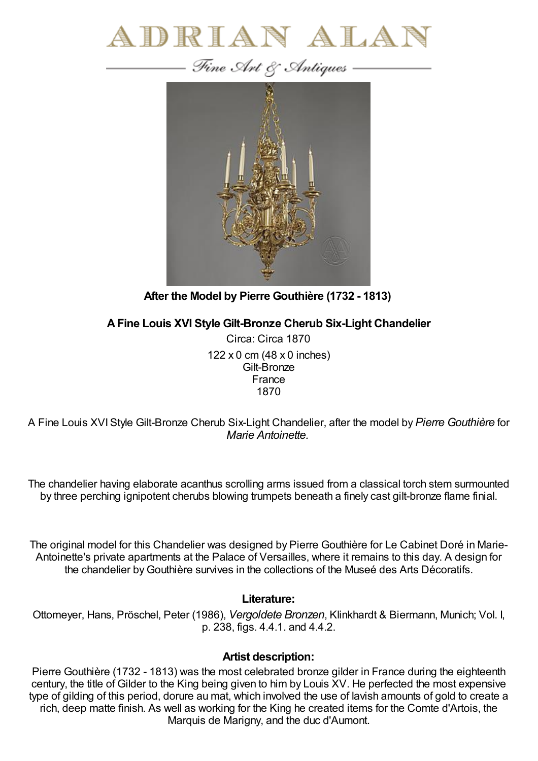



**After the Model by Pierre Gouthière (1732 - 1813)**

**AFine Louis XVI Style Gilt-Bronze Cherub Six-Light Chandelier**

Circa: Circa 1870 122 x 0 cm (48 x 0 inches) Gilt-Bronze France 1870

A Fine Louis XVIStyle Gilt-Bronze Cherub Six-Light Chandelier, after the model by *Pierre Gouthière* for *Marie Antoinette.*

The chandelier having elaborate acanthus scrolling arms issued from a classical torch stem surmounted by three perching ignipotent cherubs blowing trumpets beneath a finely cast gilt-bronze flame finial.

The original model for this Chandelier was designed by Pierre Gouthière for Le Cabinet Doré in Marie-Antoinette's private apartments at the Palace of Versailles, where it remains to this day. A design for the chandelier byGouthière survives in the collections of the Museé des Arts Décoratifs.

## **Literature:**

Ottomeyer, Hans, Pröschel, Peter (1986), *Vergoldete Bronzen*, Klinkhardt & Biermann, Munich; Vol. I, p. 238, figs. 4.4.1. and 4.4.2.

## **Artist description:**

Pierre Gouthière (1732 - 1813) was the most celebrated bronze gilder in France during the eighteenth century, the title of Gilder to the King being given to him by Louis XV. He perfected the most expensive type of gilding of this period, dorure au mat, which involved the use of lavish amounts of gold to create a rich, deep matte finish. As well as working for the King he created items for the Comte d'Artois, the Marquis de Marigny, and the duc d'Aumont.